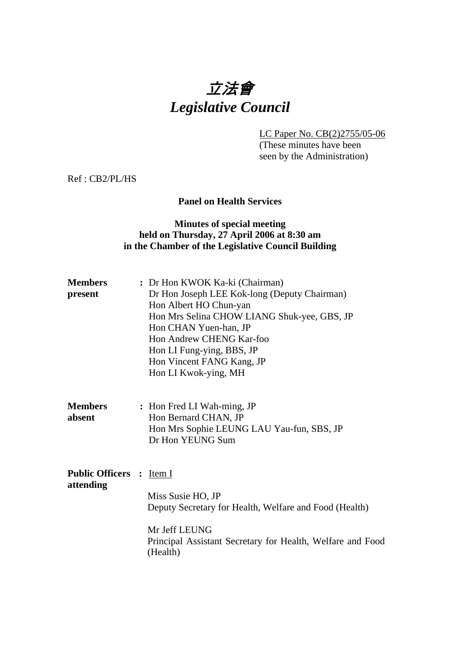# 立法會 *Legislative Council*

LC Paper No. CB(2)2755/05-06

 (These minutes have been seen by the Administration)

Ref : CB2/PL/HS

# **Panel on Health Services**

# **Minutes of special meeting held on Thursday, 27 April 2006 at 8:30 am in the Chamber of the Legislative Council Building**

| <b>Members</b> | : Dr Hon KWOK Ka-ki (Chairman)               |
|----------------|----------------------------------------------|
| present        | Dr Hon Joseph LEE Kok-long (Deputy Chairman) |
|                | Hon Albert HO Chun-yan                       |
|                | Hon Mrs Selina CHOW LIANG Shuk-yee, GBS, JP  |
|                | Hon CHAN Yuen-han, JP                        |
|                | Hon Andrew CHENG Kar-foo                     |
|                | Hon LI Fung-ying, BBS, JP                    |
|                | Hon Vincent FANG Kang, JP                    |
|                | Hon LI Kwok-ying, MH                         |
|                |                                              |

| <b>Members</b> | : Hon Fred LI Wah-ming, JP                |
|----------------|-------------------------------------------|
| absent         | Hon Bernard CHAN, JP                      |
|                | Hon Mrs Sophie LEUNG LAU Yau-fun, SBS, JP |
|                | Dr Hon YEUNG Sum                          |

**Public Officers :** Item I **attending**  Miss Susie HO, JP Deputy Secretary for Health, Welfare and Food (Health) Mr Jeff LEUNG Principal Assistant Secretary for Health, Welfare and Food (Health)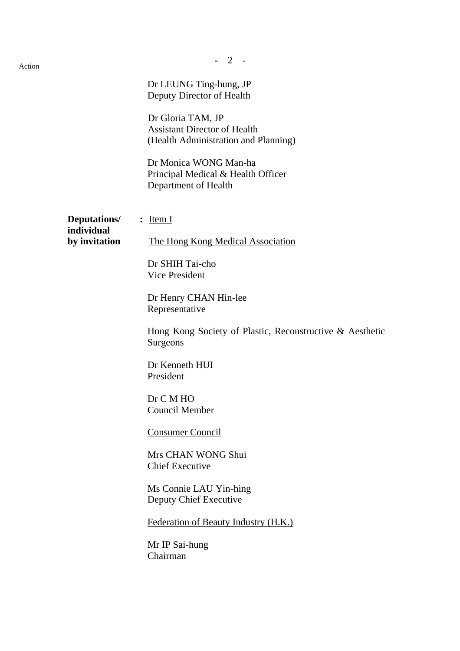| <u>Action</u> |                                   | $\overline{2}$                                                                                   |
|---------------|-----------------------------------|--------------------------------------------------------------------------------------------------|
|               |                                   | Dr LEUNG Ting-hung, JP<br>Deputy Director of Health                                              |
|               |                                   | Dr Gloria TAM, JP<br><b>Assistant Director of Health</b><br>(Health Administration and Planning) |
|               |                                   | Dr Monica WONG Man-ha<br>Principal Medical & Health Officer<br>Department of Health              |
|               | <b>Deputations/</b><br>individual | $:$ Item I                                                                                       |
|               | by invitation                     | The Hong Kong Medical Association                                                                |
|               |                                   | Dr SHIH Tai-cho<br>Vice President                                                                |
|               |                                   | Dr Henry CHAN Hin-lee<br>Representative                                                          |
|               |                                   | Hong Kong Society of Plastic, Reconstructive & Aesthetic<br>Surgeons                             |
|               |                                   | Dr Kenneth HUI<br>President                                                                      |
|               |                                   | Dr C M HO<br><b>Council Member</b>                                                               |
|               |                                   | <b>Consumer Council</b>                                                                          |
|               |                                   | Mrs CHAN WONG Shui<br><b>Chief Executive</b>                                                     |
|               |                                   | Ms Connie LAU Yin-hing<br>Deputy Chief Executive                                                 |
|               |                                   | Federation of Beauty Industry (H.K.)                                                             |
|               |                                   | Mr IP Sai-hung<br>Chairman                                                                       |
|               |                                   |                                                                                                  |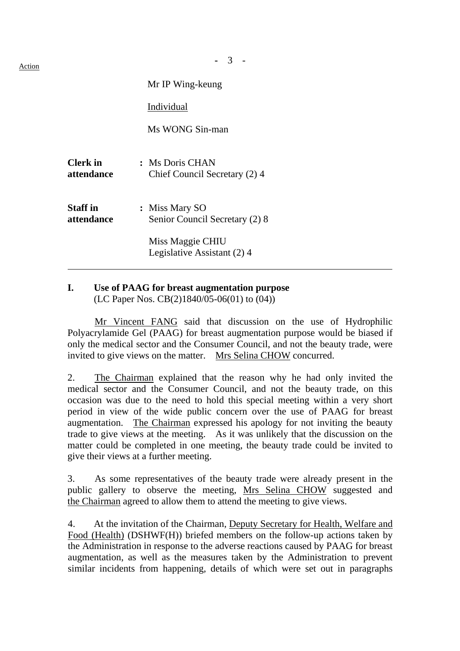| 11<br>I<br>v. |  |
|---------------|--|
|               |  |

|                               | Mr IP Wing-keung                                 |  |
|-------------------------------|--------------------------------------------------|--|
|                               | Individual                                       |  |
|                               | Ms WONG Sin-man                                  |  |
| <b>Clerk</b> in<br>attendance | : Ms Doris CHAN<br>Chief Council Secretary (2) 4 |  |
| <b>Staff</b> in<br>attendance | : Miss Mary SO<br>Senior Council Secretary (2) 8 |  |
|                               | Miss Maggie CHIU<br>Legislative Assistant (2) 4  |  |

# **I. Use of PAAG for breast augmentation purpose**  (LC Paper Nos. CB(2)1840/05-06(01) to (04))

 Mr Vincent FANG said that discussion on the use of Hydrophilic Polyacrylamide Gel (PAAG) for breast augmentation purpose would be biased if only the medical sector and the Consumer Council, and not the beauty trade, were invited to give views on the matter. Mrs Selina CHOW concurred.

2. The Chairman explained that the reason why he had only invited the medical sector and the Consumer Council, and not the beauty trade, on this occasion was due to the need to hold this special meeting within a very short period in view of the wide public concern over the use of PAAG for breast augmentation. The Chairman expressed his apology for not inviting the beauty trade to give views at the meeting. As it was unlikely that the discussion on the  $\frac{1}{2}$  matter could be completed in one meeting, the beauty trade could be invited to give their views at a further meeting.

3. As some representatives of the beauty trade were already present in the public gallery to observe the meeting, Mrs Selina CHOW suggested and the Chairman agreed to allow them to attend the meeting to give views.

4. At the invitation of the Chairman, Deputy Secretary for Health, Welfare and Food (Health) (DSHWF(H)) briefed members on the follow-up actions taken by the Administration in response to the adverse reactions caused by PAAG for breast augmentation, as well as the measures taken by the Administration to prevent similar incidents from happening, details of which were set out in paragraphs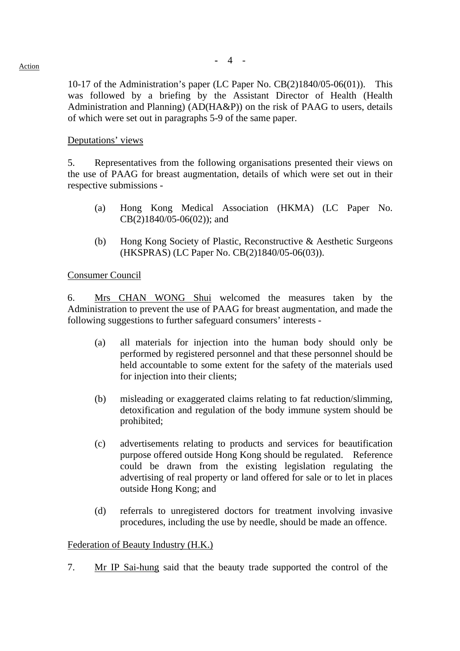10-17 of the Administration's paper (LC Paper No. CB(2)1840/05-06(01)). This was followed by a briefing by the Assistant Director of Health (Health Administration and Planning) (AD(HA&P)) on the risk of PAAG to users, details of which were set out in paragraphs 5-9 of the same paper.

### Deputations' views

5. Representatives from the following organisations presented their views on the use of PAAG for breast augmentation, details of which were set out in their respective submissions -

- (a) Hong Kong Medical Association (HKMA) (LC Paper No. CB(2)1840/05-06(02)); and
- (b) Hong Kong Society of Plastic, Reconstructive & Aesthetic Surgeons (HKSPRAS) (LC Paper No. CB(2)1840/05-06(03)).

#### Consumer Council

6. Mrs CHAN WONG Shui welcomed the measures taken by the Administration to prevent the use of PAAG for breast augmentation, and made the following suggestions to further safeguard consumers' interests -

- (a) all materials for injection into the human body should only be performed by registered personnel and that these personnel should be held accountable to some extent for the safety of the materials used for injection into their clients;
- (b) misleading or exaggerated claims relating to fat reduction/slimming, detoxification and regulation of the body immune system should be prohibited;
- (c) advertisements relating to products and services for beautification purpose offered outside Hong Kong should be regulated. Reference could be drawn from the existing legislation regulating the advertising of real property or land offered for sale or to let in places outside Hong Kong; and
- (d) referrals to unregistered doctors for treatment involving invasive procedures, including the use by needle, should be made an offence.

### Federation of Beauty Industry (H.K.)

7. Mr IP Sai-hung said that the beauty trade supported the control of the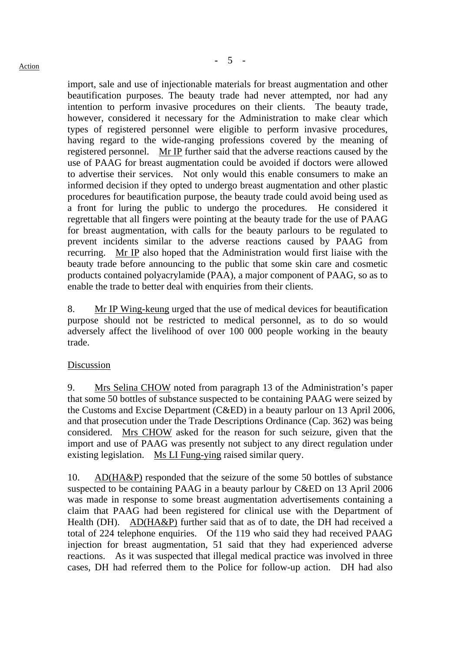import, sale and use of injectionable materials for breast augmentation and other beautification purposes. The beauty trade had never attempted, nor had any intention to perform invasive procedures on their clients. The beauty trade, however, considered it necessary for the Administration to make clear which types of registered personnel were eligible to perform invasive procedures, having regard to the wide-ranging professions covered by the meaning of registered personnel. Mr IP further said that the adverse reactions caused by the use of PAAG for breast augmentation could be avoided if doctors were allowed to advertise their services. Not only would this enable consumers to make an informed decision if they opted to undergo breast augmentation and other plastic procedures for beautification purpose, the beauty trade could avoid being used as a front for luring the public to undergo the procedures. He considered it regrettable that all fingers were pointing at the beauty trade for the use of PAAG for breast augmentation, with calls for the beauty parlours to be regulated to prevent incidents similar to the adverse reactions caused by PAAG from recurring. Mr IP also hoped that the Administration would first liaise with the beauty trade before announcing to the public that some skin care and cosmetic products contained polyacrylamide (PAA), a major component of PAAG, so as to enable the trade to better deal with enquiries from their clients.

8. Mr IP Wing-keung urged that the use of medical devices for beautification purpose should not be restricted to medical personnel, as to do so would adversely affect the livelihood of over 100 000 people working in the beauty trade.

# Discussion

9. Mrs Selina CHOW noted from paragraph 13 of the Administration's paper that some 50 bottles of substance suspected to be containing PAAG were seized by the Customs and Excise Department (C&ED) in a beauty parlour on 13 April 2006, and that prosecution under the Trade Descriptions Ordinance (Cap. 362) was being considered. Mrs CHOW asked for the reason for such seizure, given that the import and use of PAAG was presently not subject to any direct regulation under existing legislation. Ms LI Fung-ying raised similar query.

10. AD(HA&P) responded that the seizure of the some 50 bottles of substance suspected to be containing PAAG in a beauty parlour by C&ED on 13 April 2006 was made in response to some breast augmentation advertisements containing a claim that PAAG had been registered for clinical use with the Department of Health (DH). AD(HA&P) further said that as of to date, the DH had received a total of 224 telephone enquiries. Of the 119 who said they had received PAAG injection for breast augmentation, 51 said that they had experienced adverse reactions. As it was suspected that illegal medical practice was involved in three cases, DH had referred them to the Police for follow-up action. DH had also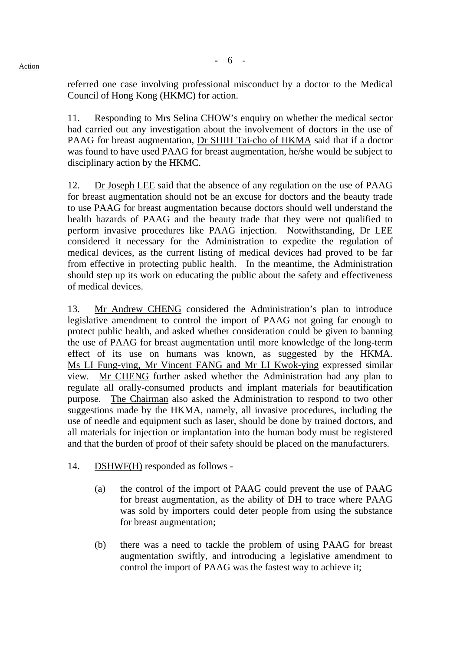referred one case involving professional misconduct by a doctor to the Medical Council of Hong Kong (HKMC) for action.

11. Responding to Mrs Selina CHOW's enquiry on whether the medical sector had carried out any investigation about the involvement of doctors in the use of PAAG for breast augmentation, Dr SHIH Tai-cho of HKMA said that if a doctor was found to have used PAAG for breast augmentation, he/she would be subject to disciplinary action by the HKMC.

12. Dr Joseph LEE said that the absence of any regulation on the use of PAAG for breast augmentation should not be an excuse for doctors and the beauty trade to use PAAG for breast augmentation because doctors should well understand the health hazards of PAAG and the beauty trade that they were not qualified to perform invasive procedures like PAAG injection. Notwithstanding, Dr LEE considered it necessary for the Administration to expedite the regulation of medical devices, as the current listing of medical devices had proved to be far from effective in protecting public health. In the meantime, the Administration should step up its work on educating the public about the safety and effectiveness of medical devices.

13. Mr Andrew CHENG considered the Administration's plan to introduce legislative amendment to control the import of PAAG not going far enough to protect public health, and asked whether consideration could be given to banning the use of PAAG for breast augmentation until more knowledge of the long-term effect of its use on humans was known, as suggested by the HKMA. Ms LI Fung-ying, Mr Vincent FANG and Mr LI Kwok-ying expressed similar view. Mr CHENG further asked whether the Administration had any plan to regulate all orally-consumed products and implant materials for beautification purpose. The Chairman also asked the Administration to respond to two other suggestions made by the HKMA, namely, all invasive procedures, including the use of needle and equipment such as laser, should be done by trained doctors, and all materials for injection or implantation into the human body must be registered and that the burden of proof of their safety should be placed on the manufacturers.

- 14. DSHWF(H) responded as follows
	- (a) the control of the import of PAAG could prevent the use of PAAG for breast augmentation, as the ability of DH to trace where PAAG was sold by importers could deter people from using the substance for breast augmentation;
	- (b) there was a need to tackle the problem of using PAAG for breast augmentation swiftly, and introducing a legislative amendment to control the import of PAAG was the fastest way to achieve it;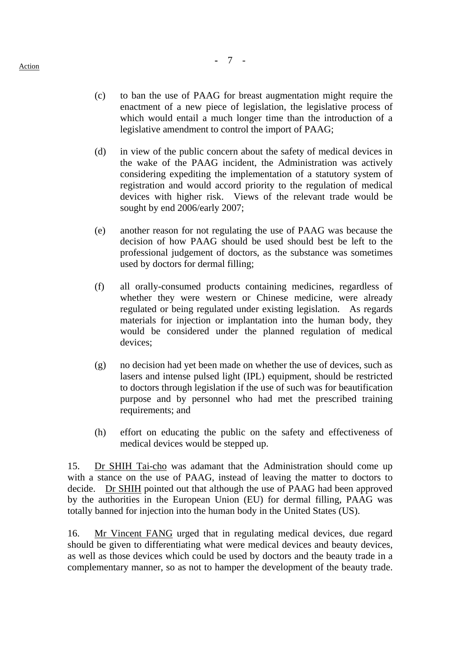- 
- (c) to ban the use of PAAG for breast augmentation might require the enactment of a new piece of legislation, the legislative process of which would entail a much longer time than the introduction of a legislative amendment to control the import of PAAG;
- (d) in view of the public concern about the safety of medical devices in the wake of the PAAG incident, the Administration was actively considering expediting the implementation of a statutory system of registration and would accord priority to the regulation of medical devices with higher risk. Views of the relevant trade would be sought by end 2006/early 2007;
- (e) another reason for not regulating the use of PAAG was because the decision of how PAAG should be used should best be left to the professional judgement of doctors, as the substance was sometimes used by doctors for dermal filling;
- (f) all orally-consumed products containing medicines, regardless of whether they were western or Chinese medicine, were already regulated or being regulated under existing legislation. As regards materials for injection or implantation into the human body, they would be considered under the planned regulation of medical devices;
- (g) no decision had yet been made on whether the use of devices, such as lasers and intense pulsed light (IPL) equipment, should be restricted to doctors through legislation if the use of such was for beautification purpose and by personnel who had met the prescribed training requirements; and
- (h) effort on educating the public on the safety and effectiveness of medical devices would be stepped up.

15. Dr SHIH Tai-cho was adamant that the Administration should come up with a stance on the use of PAAG, instead of leaving the matter to doctors to decide. Dr SHIH pointed out that although the use of PAAG had been approved by the authorities in the European Union (EU) for dermal filling, PAAG was totally banned for injection into the human body in the United States (US).

16. Mr Vincent FANG urged that in regulating medical devices, due regard should be given to differentiating what were medical devices and beauty devices, as well as those devices which could be used by doctors and the beauty trade in a complementary manner, so as not to hamper the development of the beauty trade.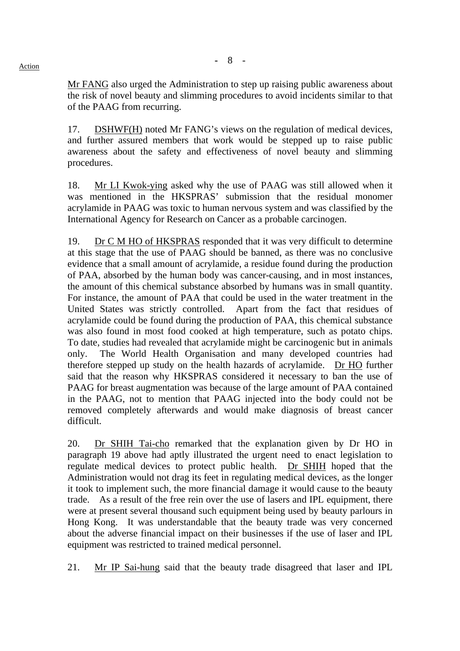Mr FANG also urged the Administration to step up raising public awareness about the risk of novel beauty and slimming procedures to avoid incidents similar to that of the PAAG from recurring.

17. DSHWF(H) noted Mr FANG's views on the regulation of medical devices, and further assured members that work would be stepped up to raise public awareness about the safety and effectiveness of novel beauty and slimming procedures.

18. Mr LI Kwok-ying asked why the use of PAAG was still allowed when it was mentioned in the HKSPRAS' submission that the residual monomer acrylamide in PAAG was toxic to human nervous system and was classified by the International Agency for Research on Cancer as a probable carcinogen.

19. Dr C M HO of HKSPRAS responded that it was very difficult to determine at this stage that the use of PAAG should be banned, as there was no conclusive evidence that a small amount of acrylamide, a residue found during the production of PAA, absorbed by the human body was cancer-causing, and in most instances, the amount of this chemical substance absorbed by humans was in small quantity. For instance, the amount of PAA that could be used in the water treatment in the United States was strictly controlled. Apart from the fact that residues of acrylamide could be found during the production of PAA, this chemical substance was also found in most food cooked at high temperature, such as potato chips. To date, studies had revealed that acrylamide might be carcinogenic but in animals only. The World Health Organisation and many developed countries had therefore stepped up study on the health hazards of acrylamide. Dr HO further said that the reason why HKSPRAS considered it necessary to ban the use of PAAG for breast augmentation was because of the large amount of PAA contained in the PAAG, not to mention that PAAG injected into the body could not be removed completely afterwards and would make diagnosis of breast cancer difficult.

20. Dr SHIH Tai-cho remarked that the explanation given by Dr HO in paragraph 19 above had aptly illustrated the urgent need to enact legislation to regulate medical devices to protect public health. Dr SHIH hoped that the Administration would not drag its feet in regulating medical devices, as the longer it took to implement such, the more financial damage it would cause to the beauty trade. As a result of the free rein over the use of lasers and IPL equipment, there were at present several thousand such equipment being used by beauty parlours in Hong Kong. It was understandable that the beauty trade was very concerned about the adverse financial impact on their businesses if the use of laser and IPL equipment was restricted to trained medical personnel.

21. Mr IP Sai-hung said that the beauty trade disagreed that laser and IPL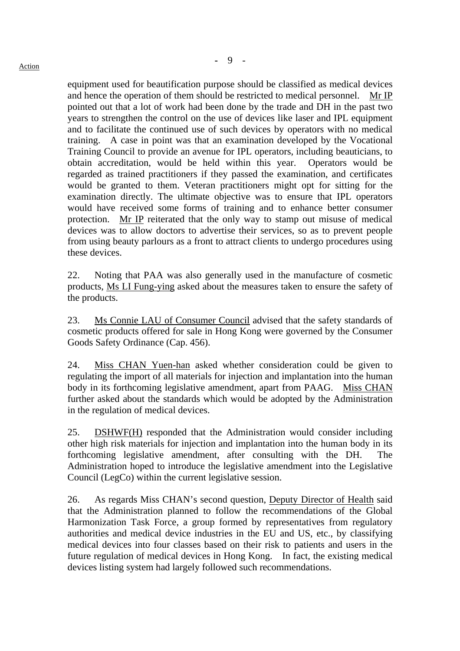equipment used for beautification purpose should be classified as medical devices and hence the operation of them should be restricted to medical personnel. Mr IP pointed out that a lot of work had been done by the trade and DH in the past two years to strengthen the control on the use of devices like laser and IPL equipment and to facilitate the continued use of such devices by operators with no medical training. A case in point was that an examination developed by the Vocational Training Council to provide an avenue for IPL operators, including beauticians, to obtain accreditation, would be held within this year. Operators would be regarded as trained practitioners if they passed the examination, and certificates would be granted to them. Veteran practitioners might opt for sitting for the examination directly. The ultimate objective was to ensure that IPL operators would have received some forms of training and to enhance better consumer protection. Mr IP reiterated that the only way to stamp out misuse of medical devices was to allow doctors to advertise their services, so as to prevent people from using beauty parlours as a front to attract clients to undergo procedures using these devices.

22. Noting that PAA was also generally used in the manufacture of cosmetic products, Ms LI Fung-ying asked about the measures taken to ensure the safety of the products.

23. Ms Connie LAU of Consumer Council advised that the safety standards of cosmetic products offered for sale in Hong Kong were governed by the Consumer Goods Safety Ordinance (Cap. 456).

24. Miss CHAN Yuen-han asked whether consideration could be given to regulating the import of all materials for injection and implantation into the human body in its forthcoming legislative amendment, apart from PAAG. Miss CHAN further asked about the standards which would be adopted by the Administration in the regulation of medical devices.

25. DSHWF(H) responded that the Administration would consider including other high risk materials for injection and implantation into the human body in its forthcoming legislative amendment, after consulting with the DH. The Administration hoped to introduce the legislative amendment into the Legislative Council (LegCo) within the current legislative session.

26. As regards Miss CHAN's second question, Deputy Director of Health said that the Administration planned to follow the recommendations of the Global Harmonization Task Force, a group formed by representatives from regulatory authorities and medical device industries in the EU and US, etc., by classifying medical devices into four classes based on their risk to patients and users in the future regulation of medical devices in Hong Kong. In fact, the existing medical devices listing system had largely followed such recommendations.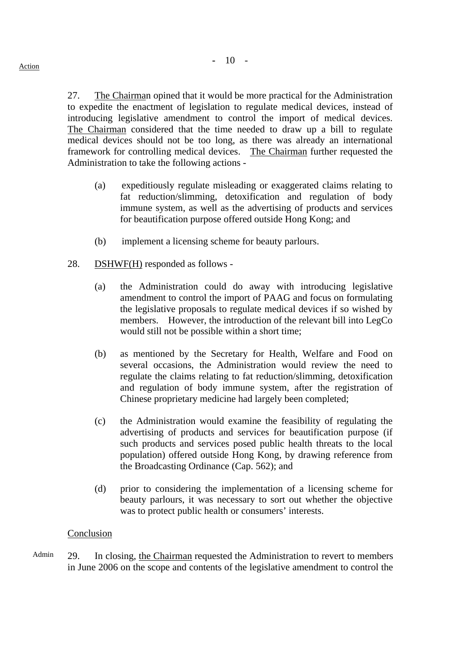27. The Chairman opined that it would be more practical for the Administration to expedite the enactment of legislation to regulate medical devices, instead of introducing legislative amendment to control the import of medical devices. The Chairman considered that the time needed to draw up a bill to regulate medical devices should not be too long, as there was already an international framework for controlling medical devices. The Chairman further requested the Administration to take the following actions -

- (a) expeditiously regulate misleading or exaggerated claims relating to fat reduction/slimming, detoxification and regulation of body immune system, as well as the advertising of products and services for beautification purpose offered outside Hong Kong; and
- (b) implement a licensing scheme for beauty parlours.
- 28. DSHWF(H) responded as follows
	- (a) the Administration could do away with introducing legislative amendment to control the import of PAAG and focus on formulating the legislative proposals to regulate medical devices if so wished by members. However, the introduction of the relevant bill into LegCo would still not be possible within a short time;
	- (b) as mentioned by the Secretary for Health, Welfare and Food on several occasions, the Administration would review the need to regulate the claims relating to fat reduction/slimming, detoxification and regulation of body immune system, after the registration of Chinese proprietary medicine had largely been completed;
	- (c) the Administration would examine the feasibility of regulating the advertising of products and services for beautification purpose (if such products and services posed public health threats to the local population) offered outside Hong Kong, by drawing reference from the Broadcasting Ordinance (Cap. 562); and
	- (d) prior to considering the implementation of a licensing scheme for beauty parlours, it was necessary to sort out whether the objective was to protect public health or consumers' interests.

# Conclusion

Admin 29. In closing, the Chairman requested the Administration to revert to members in June 2006 on the scope and contents of the legislative amendment to control the